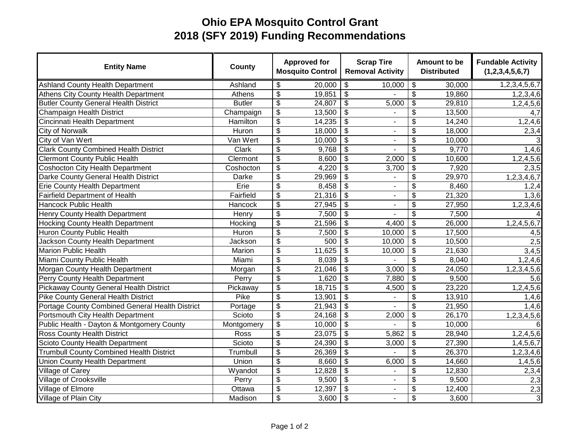## **Ohio EPA Mosquito Control Grant 2018 (SFY 2019) Funding Recommendations**

| <b>Entity Name</b>                              | <b>County</b> |                                        | <b>Approved for</b><br><b>Mosquito Control</b> |                                  | <b>Scrap Tire</b><br><b>Removal Activity</b> | Amount to be<br><b>Distributed</b>   |                     | <b>Fundable Activity</b><br>(1,2,3,4,5,6,7) |
|-------------------------------------------------|---------------|----------------------------------------|------------------------------------------------|----------------------------------|----------------------------------------------|--------------------------------------|---------------------|---------------------------------------------|
| <b>Ashland County Health Department</b>         | Ashland       | \$                                     | 20,000                                         | $\overline{\mathbf{S}}$          | 10,000                                       | $\overline{\boldsymbol{\theta}}$     | 30,000              | 1,2,3,4,5,6,7                               |
| <b>Athens City County Health Department</b>     | Athens        | $\overline{\$}$                        | 19,851                                         | $\overline{\mathbf{3}}$          |                                              | $\overline{\mathbf{3}}$              | 19,860              | 1,2,3,4,6                                   |
| <b>Butler County General Health District</b>    | <b>Butler</b> | $\overline{\mathbf{e}}$                | 24,807                                         | $\boldsymbol{\theta}$            | 5,000                                        | \$                                   | 29,810              | 1,2,4,5,6                                   |
| Champaign Health District                       | Champaign     | $\overline{\boldsymbol{\theta}}$       | 13,500                                         | $\overline{\mathcal{S}}$         |                                              | $\overline{\mathbf{3}}$              | 13,500              | 4,7                                         |
| Cincinnati Health Department                    | Hamilton      | $\overline{\boldsymbol{\mathfrak{s}}}$ | 14,235                                         | $\overline{\mathbf{3}}$          | $\blacksquare$                               | $\overline{\mathbf{3}}$              | 14,240              | 1,2,4,6                                     |
| <b>City of Norwalk</b>                          | Huron         | $\overline{\mathbf{e}}$                | 18,000                                         | $\boldsymbol{\mathsf{S}}$        | ٠                                            | \$                                   | 18,000              | 2,3,4                                       |
| City of Van Wert                                | Van Wert      | $\overline{\$}$                        | 10,000                                         | $\overline{\$}$                  | ٠                                            | $\overline{\$}$                      | $\overline{10,000}$ | 3                                           |
| <b>Clark County Combined Health District</b>    | Clark         | $\overline{\$}$                        | 9,768                                          | $\overline{\$}$                  | ۰                                            | $\overline{\$}$                      | 9,770               | 1,4,6                                       |
| <b>Clermont County Public Health</b>            | Clermont      | $\overline{\boldsymbol{\theta}}$       | 8,600                                          | $\boldsymbol{\mathsf{S}}$        | 2,000                                        | \$                                   | 10,600              | 1,2,4,5,6                                   |
| <b>Coshocton City Health Department</b>         | Coshocton     | $\overline{\boldsymbol{\theta}}$       | 4,220                                          | \$                               | 3,700                                        | \$                                   | 7,920               | 2,3,5                                       |
| Darke County General Health District            | Darke         | $\overline{\mathbf{e}}$                | 29,969                                         | $\boldsymbol{\mathsf{S}}$        | ÷,                                           | $\overline{\boldsymbol{\mathsf{s}}}$ | 29,970              | 1,2,3,4,6,7                                 |
| <b>Erie County Health Department</b>            | Erie          | $\overline{\$}$                        | 8,458                                          | $\overline{\mathbf{3}}$          | L,                                           | $\overline{\mathbf{3}}$              | 8,460               | 1,2,4                                       |
| <b>Fairfield Department of Health</b>           | Fairfield     | $\overline{\mathcal{G}}$               | 21,316                                         | $\boldsymbol{\mathsf{S}}$        | $\blacksquare$                               | $\overline{\mathbf{3}}$              | 21,320              | 1,3,6                                       |
| <b>Hancock Public Health</b>                    | Hancock       | \$                                     | 27,945                                         | \$                               | $\overline{\phantom{a}}$                     | \$                                   | 27,950              | 1, 2, 3, 4, 6                               |
| Henry County Health Department                  | Henry         | $\overline{\mathcal{G}}$               | 7,500                                          | $\boldsymbol{\mathsf{S}}$        |                                              | \$                                   | 7,500               |                                             |
| <b>Hocking County Health Department</b>         | Hocking       | \$                                     | 21,596                                         | $\boldsymbol{\theta}$            | 4,400                                        | \$                                   | 26,000              | 1,2,4,5,6,7                                 |
| Huron County Public Health                      | Huron         | $\overline{\mathbf{e}}$                | 7,500                                          | $\boldsymbol{\mathsf{S}}$        | 10,000                                       | \$                                   | 17,500              | 4,5                                         |
| Jackson County Health Department                | Jackson       | $\overline{\mathcal{G}}$               | 500                                            | \$                               | 10,000                                       | \$                                   | 10,500              | 2,5                                         |
| <b>Marion Public Health</b>                     | Marion        | $\overline{\$}$                        | 11,625                                         | $\overline{\mathcal{S}}$         | 10,000                                       | $\overline{\mathbf{3}}$              | 21,630              | 3,4,5                                       |
| Miami County Public Health                      | Miami         | $\overline{\mathcal{G}}$               | 8,039                                          | $\boldsymbol{\mathsf{S}}$        |                                              | \$                                   | 8,040               | 1,2,4,6                                     |
| Morgan County Health Department                 | Morgan        | \$                                     | 21,046                                         | $\boldsymbol{\mathsf{S}}$        | 3,000                                        | \$                                   | 24,050              | 1,2,3,4,5,6                                 |
| Perry County Health Department                  | Perry         | $\overline{\mathbf{e}}$                | 1,620                                          | $\overline{\boldsymbol{\theta}}$ | 7,880                                        | $\overline{\boldsymbol{\theta}}$     | 9,500               | 5,6                                         |
| <b>Pickaway County General Health District</b>  | Pickaway      | $\overline{\mathbf{e}}$                | 18,715                                         | $\overline{\boldsymbol{\theta}}$ | 4,500                                        | $\overline{\boldsymbol{\theta}}$     | 23,220              | 1,2,4,5,6                                   |
| <b>Pike County General Health District</b>      | Pike          | $\overline{\$}$                        | 13,901                                         | $\overline{\$}$                  |                                              | $\overline{\$}$                      | 13,910              | 1,4,6                                       |
| Portage County Combined General Health District | Portage       | $\overline{\$}$                        | 21,943                                         | $\overline{\$}$                  |                                              | $\overline{\$}$                      | 21,950              | 1,4,6                                       |
| Portsmouth City Health Department               | Scioto        | \$                                     | 24,168                                         | $\overline{\mathbf{3}}$          | 2,000                                        | $\overline{\mathbf{3}}$              | 26,170              | 1,2,3,4,5,6                                 |
| Public Health - Dayton & Montgomery County      | Montgomery    | $\overline{\mathcal{G}}$               | 10,000                                         | $\overline{\mathcal{S}}$         |                                              | $\overline{\mathbf{3}}$              | 10,000              | 6                                           |
| <b>Ross County Health District</b>              | Ross          | $\overline{\boldsymbol{\mathfrak{s}}}$ | 23,075                                         | $\overline{\boldsymbol{\theta}}$ | 5,862                                        | $\overline{\boldsymbol{\theta}}$     | 28,940              | 1,2,4,5,6                                   |
| Scioto County Health Department                 | Scioto        | $\overline{\boldsymbol{\mathfrak{s}}}$ | 24,390                                         | $\overline{\boldsymbol{\theta}}$ | 3,000                                        | $\overline{\boldsymbol{\theta}}$     | 27,390              | 1,4,5,6,7                                   |
| <b>Trumbull County Combined Health District</b> | Trumbull      | $\overline{\boldsymbol{\mathfrak{s}}}$ | 26,369                                         | $\overline{\boldsymbol{\theta}}$ |                                              | $\overline{\boldsymbol{\theta}}$     | 26,370              | 1,2,3,4,6                                   |
| <b>Union County Health Department</b>           | Union         | \$                                     | 8,660                                          | $\boldsymbol{\theta}$            | 6,000                                        | \$                                   | 14,660              | 1,4,5,6                                     |
| Village of Carey                                | Wyandot       | $\overline{\boldsymbol{\mathfrak{s}}}$ | 12,828                                         | $\overline{\mathbf{3}}$          | $\mathbf{r}$                                 | $\overline{\boldsymbol{\theta}}$     | 12,830              | 2,3,4                                       |
| <b>Village of Crooksville</b>                   | Perry         | $\overline{\mathbf{3}}$                | 9,500                                          | $\overline{\mathcal{S}}$         | $\blacksquare$                               | $\overline{\mathcal{S}}$             | 9,500               | $\overline{2,3}$                            |
| Village of Elmore                               | Ottawa        | $\overline{\boldsymbol{\theta}}$       | 12,397                                         | $\overline{\boldsymbol{\theta}}$ | ÷,                                           | $\overline{\boldsymbol{\theta}}$     | 12,400              | 2,3                                         |
| Village of Plain City                           | Madison       | $\overline{\$}$                        | 3,600                                          | $\overline{\boldsymbol{\theta}}$ | $\blacksquare$                               | $\overline{\boldsymbol{\theta}}$     | 3,600               | $\overline{3}$                              |